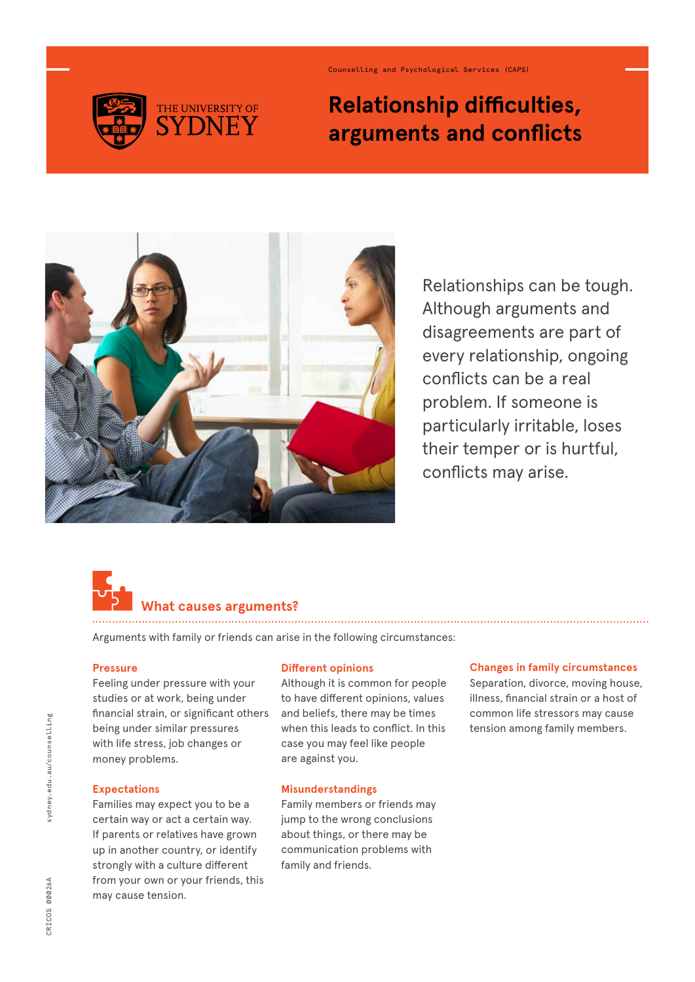

Counselling and Psychological Services (CAPS)

# **Relationship difficulties, arguments and conflicts**



Relationships can be tough. Although arguments and disagreements are part of every relationship, ongoing conflicts can be a real problem. If someone is particularly irritable, loses their temper or is hurtful, conflicts may arise.

# **at causes arguments?**

Arguments with family or friends can arise in the following circumstances:

## **Pressure**

Feeling under pressure with your studies or at work, being under financial strain, or significant others being under similar pressures with life stress, job changes or money problems.

## **Expectations**

Families may expect you to be a certain way or act a certain way. If parents or relatives have grown up in another country, or identify strongly with a culture different from your own or your friends, this may cause tension.

#### **Different opinions**

Although it is common for people to have different opinions, values and beliefs, there may be times when this leads to conflict. In this case you may feel like people are against you.

#### **Misunderstandings**

Family members or friends may jump to the wrong conclusions about things, or there may be communication problems with family and friends.

#### **Changes in family circumstances**

Separation, divorce, moving house, illness, financial strain or a host of common life stressors may cause tension among family members.